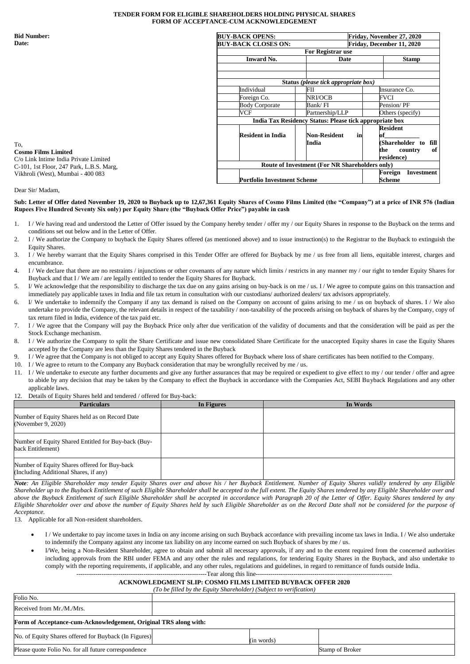## **TENDER FORM FOR ELIGIBLE SHAREHOLDERS HOLDING PHYSICAL SHARES FORM OF ACCEPTANCE-CUM ACKNOWLEDGEMENT**

**Bid Number: Date:**

| <b>Bid Number:</b>                                                                | <b>BUY-BACK OPENS:</b>                                  | Friday, November 27, 2020                      |                              |  |  |
|-----------------------------------------------------------------------------------|---------------------------------------------------------|------------------------------------------------|------------------------------|--|--|
| Date:                                                                             | <b>BUY-BACK CLOSES ON:</b>                              | Friday, December 11, 2020                      |                              |  |  |
|                                                                                   |                                                         | <b>For Registrar use</b>                       |                              |  |  |
|                                                                                   | <b>Inward No.</b>                                       | Date                                           | <b>Stamp</b>                 |  |  |
|                                                                                   |                                                         |                                                |                              |  |  |
|                                                                                   |                                                         |                                                |                              |  |  |
|                                                                                   |                                                         | Status (please tick appropriate box)           |                              |  |  |
|                                                                                   | Individual                                              | FII                                            | Insurance Co.                |  |  |
|                                                                                   | Foreign Co.                                             | NRI/OCB                                        | FVCI                         |  |  |
|                                                                                   | <b>Body Corporate</b>                                   | Bank/ FI                                       | Pension/PF                   |  |  |
|                                                                                   | VCF                                                     | Partnership/LLP                                | Others (specify)             |  |  |
|                                                                                   | India Tax Residency Status: Please tick appropriate box |                                                |                              |  |  |
|                                                                                   |                                                         |                                                | <b>Resident</b>              |  |  |
|                                                                                   | <b>Resident in India</b>                                | <b>Non-Resident</b><br>in                      |                              |  |  |
| To.                                                                               |                                                         | India                                          | (Shareholder to<br>fill      |  |  |
| <b>Cosmo Films Limited</b>                                                        |                                                         |                                                | of l<br>the<br>country       |  |  |
| C/o Link Intime India Private Limited<br>C-101, 1st Floor, 247 Park, L.B.S. Marg, |                                                         |                                                | residence)                   |  |  |
|                                                                                   |                                                         | Route of Investment (For NR Shareholders only) |                              |  |  |
| Vikhroli (West), Mumbai - 400 083                                                 |                                                         |                                                | Foreign<br><b>Investment</b> |  |  |
|                                                                                   |                                                         | <b>Portfolio Investment Scheme</b>             |                              |  |  |

## Dear Sir/ Madam,

## **Sub: Letter of Offer dated November 19, 2020 to Buyback up to 12,67,361 Equity Shares of Cosmo Films Limited (the "Company") at a price of INR 576 (Indian Rupees Five Hundred Seventy Six only) per Equity Share (the "Buyback Offer Price") payable in cash**

- 1/ We having read and understood the Letter of Offer issued by the Company hereby tender / offer my / our Equity Shares in response to the Buyback on the terms and conditions set out below and in the Letter of Offer.
- 2. I / We authorize the Company to buyback the Equity Shares offered (as mentioned above) and to issue instruction(s) to the Registrar to the Buyback to extinguish the Equity Shares.
- 3. I / We hereby warrant that the Equity Shares comprised in this Tender Offer are offered for Buyback by me / us free from all liens, equitable interest, charges and encumbrance.
- 4. I / We declare that there are no restraints / injunctions or other covenants of any nature which limits / restricts in any manner my / our right to tender Equity Shares for Buyback and that I / We am / are legally entitled to tender the Equity Shares for Buyback.
- 5. I/ We acknowledge that the responsibility to discharge the tax due on any gains arising on buy-back is on me / us. I / We agree to compute gains on this transaction and immediately pay applicable taxes in India and file tax return in consultation with our custodians/ authorized dealers/ tax advisors appropriately.
- 6. I/ We undertake to indemnify the Company if any tax demand is raised on the Company on account of gains arising to me / us on buyback of shares. I / We also undertake to provide the Company, the relevant details in respect of the taxability / non-taxability of the proceeds arising on buyback of shares by the Company, copy of tax return filed in India, evidence of the tax paid etc.
- 7. I / We agree that the Company will pay the Buyback Price only after due verification of the validity of documents and that the consideration will be paid as per the Stock Exchange mechanism.
- 8. I / We authorize the Company to split the Share Certificate and issue new consolidated Share Certificate for the unaccepted Equity shares in case the Equity Shares accepted by the Company are less than the Equity Shares tendered in the Buyback
- 9. I / We agree that the Company is not obliged to accept any Equity Shares offered for Buyback where loss of share certificates has been notified to the Company.
- 10. I / We agree to return to the Company any Buyback consideration that may be wrongfully received by me / us.
- 11. I / We undertake to execute any further documents and give any further assurances that may be required or expedient to give effect to my / our tender / offer and agree to abide by any decision that may be taken by the Company to effect the Buyback in accordance with the Companies Act, SEBI Buyback Regulations and any other applicable laws.
- 12. Details of Equity Shares held and tendered / offered for Buy-back:

| <b>Particulars</b>                                                                    | In Figures | In Words |
|---------------------------------------------------------------------------------------|------------|----------|
| Number of Equity Shares held as on Record Date<br>(November 9, 2020)                  |            |          |
| Number of Equity Shared Entitled for Buy-back (Buy-<br>back Entitlement)              |            |          |
| Number of Equity Shares offered for Buy-back<br>(Including Additional Shares, if any) |            |          |

*Note: An Eligible Shareholder may tender Equity Shares over and above his / her Buyback Entitlement. Number of Equity Shares validly tendered by any Eligible Shareholder up to the Buyback Entitlement of such Eligible Shareholder shall be accepted to the full extent. The Equity Shares tendered by any Eligible Shareholder over and above the Buyback Entitlement of such Eligible Shareholder shall be accepted in accordance with Paragraph 20 of the Letter of Offer. Equity Shares tendered by any Eligible Shareholder over and above the number of Equity Shares held by such Eligible Shareholder as on the Record Date shall not be considered for the purpose of Acceptance.*

13. Applicable for all Non-resident shareholders.

- I / We undertake to pay income taxes in India on any income arising on such Buyback accordance with prevailing income tax laws in India. I / We also undertake to indemnify the Company against any income tax liability on any income earned on such Buyback of shares by me / us.
- I/We, being a Non-Resident Shareholder, agree to obtain and submit all necessary approvals, if any and to the extent required from the concerned authorities including approvals from the RBI under FEMA and any other the rules and regulations, for tendering Equity Shares in the Buyback, and also undertake to comply with the reporting requirements, if applicable, and any other rules, regulations and guidelines, in regard to remittance of funds outside India.

--------------------------------------------------------------Tear along this line-----------------------------------------------------------------

# **ACKNOWLEDGMENT SLIP: COSMO FILMS LIMITED BUYBACK OFFER 2020**

| (To be filled by the Equity Shareholder) (Subject to verification) |            |                 |  |  |
|--------------------------------------------------------------------|------------|-----------------|--|--|
| Folio No.                                                          |            |                 |  |  |
| Received from Mr./M./Mrs.                                          |            |                 |  |  |
| Form of Acceptance-cum-Acknowledgement, Original TRS along with:   |            |                 |  |  |
| No. of Equity Shares offered for Buyback (In Figures)              | (in words) |                 |  |  |
| Please quote Folio No. for all future correspondence               |            | Stamp of Broker |  |  |